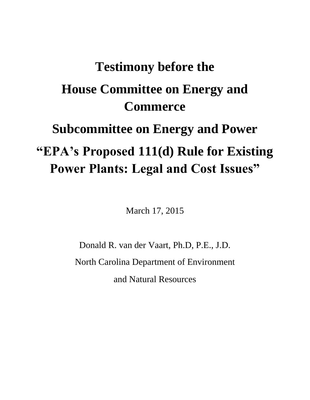## **Testimony before the House Committee on Energy and Commerce Subcommittee on Energy and Power "EPA's Proposed 111(d) Rule for Existing Power Plants: Legal and Cost Issues"**

March 17, 2015

Donald R. van der Vaart, Ph.D, P.E., J.D. North Carolina Department of Environment and Natural Resources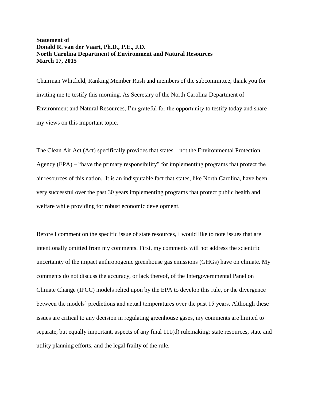## **Statement of Donald R. van der Vaart, Ph.D., P.E., J.D. North Carolina Department of Environment and Natural Resources March 17, 2015**

Chairman Whitfield, Ranking Member Rush and members of the subcommittee, thank you for inviting me to testify this morning. As Secretary of the North Carolina Department of Environment and Natural Resources, I'm grateful for the opportunity to testify today and share my views on this important topic.

The Clean Air Act (Act) specifically provides that states – not the Environmental Protection Agency (EPA) – "have the primary responsibility" for implementing programs that protect the air resources of this nation. It is an indisputable fact that states, like North Carolina, have been very successful over the past 30 years implementing programs that protect public health and welfare while providing for robust economic development.

Before I comment on the specific issue of state resources, I would like to note issues that are intentionally omitted from my comments. First, my comments will not address the scientific uncertainty of the impact anthropogenic greenhouse gas emissions (GHGs) have on climate. My comments do not discuss the accuracy, or lack thereof, of the Intergovernmental Panel on Climate Change (IPCC) models relied upon by the EPA to develop this rule, or the divergence between the models' predictions and actual temperatures over the past 15 years. Although these issues are critical to any decision in regulating greenhouse gases, my comments are limited to separate, but equally important, aspects of any final 111(d) rulemaking: state resources, state and utility planning efforts, and the legal frailty of the rule.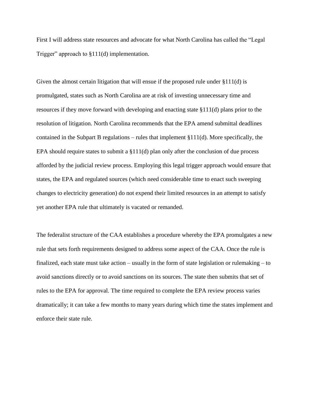First I will address state resources and advocate for what North Carolina has called the "Legal Trigger" approach to §111(d) implementation.

Given the almost certain litigation that will ensue if the proposed rule under  $\S 111(d)$  is promulgated, states such as North Carolina are at risk of investing unnecessary time and resources if they move forward with developing and enacting state §111(d) plans prior to the resolution of litigation. North Carolina recommends that the EPA amend submittal deadlines contained in the Subpart B regulations – rules that implement §111(d). More specifically, the EPA should require states to submit a  $\S111(d)$  plan only after the conclusion of due process afforded by the judicial review process. Employing this legal trigger approach would ensure that states, the EPA and regulated sources (which need considerable time to enact such sweeping changes to electricity generation) do not expend their limited resources in an attempt to satisfy yet another EPA rule that ultimately is vacated or remanded.

The federalist structure of the CAA establishes a procedure whereby the EPA promulgates a new rule that sets forth requirements designed to address some aspect of the CAA. Once the rule is finalized, each state must take action – usually in the form of state legislation or rulemaking – to avoid sanctions directly or to avoid sanctions on its sources. The state then submits that set of rules to the EPA for approval. The time required to complete the EPA review process varies dramatically; it can take a few months to many years during which time the states implement and enforce their state rule.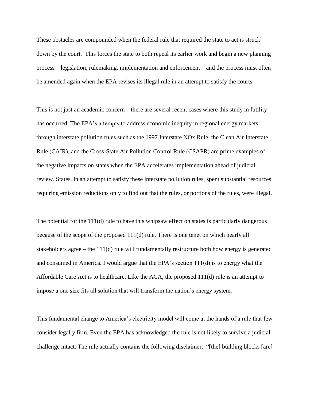These obstacles are compounded when the federal rule that required the state to act is struck down by the court. This forces the state to both repeal its earlier work and begin a new planning process – legislation, rulemaking, implementation and enforcement – and the process must often be amended again when the EPA revises its illegal rule in an attempt to satisfy the courts.

This is not just an academic concern – there are several recent cases where this study in futility has occurred. The EPA's attempts to address economic inequity in regional energy markets through interstate pollution rules such as the 1997 Interstate NOx Rule, the Clean Air Interstate Rule (CAIR), and the Cross-State Air Pollution Control Rule (CSAPR) are prime examples of the negative impacts on states when the EPA accelerates implementation ahead of judicial review. States, in an attempt to satisfy these interstate pollution rules, spent substantial resources requiring emission reductions only to find out that the rules, or portions of the rules, were illegal.

The potential for the 111(d) rule to have this whipsaw effect on states is particularly dangerous because of the scope of the proposed 111(d) rule. There is one tenet on which nearly all stakeholders agree – the 111(d) rule will fundamentally restructure both how energy is generated and consumed in America. I would argue that the EPA's section 111(d) is to energy what the Affordable Care Act is to healthcare. Like the ACA, the proposed 111(d) rule is an attempt to impose a one size fits all solution that will transform the nation's energy system.

This fundamental change to America's electricity model will come at the hands of a rule that few consider legally firm. Even the EPA has acknowledged the rule is not likely to survive a judicial challenge intact. The rule actually contains the following disclaimer: "[the] building blocks [are]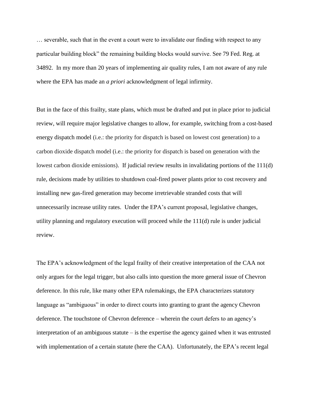… severable, such that in the event a court were to invalidate our finding with respect to any particular building block" the remaining building blocks would survive. See 79 Fed. Reg. at 34892. In my more than 20 years of implementing air quality rules, I am not aware of any rule where the EPA has made an *a priori* acknowledgment of legal infirmity.

But in the face of this frailty, state plans, which must be drafted and put in place prior to judicial review, will require major legislative changes to allow, for example, switching from a cost-based energy dispatch model (i.e.: the priority for dispatch is based on lowest cost generation) to a carbon dioxide dispatch model (i.e.: the priority for dispatch is based on generation with the lowest carbon dioxide emissions). If judicial review results in invalidating portions of the 111(d) rule, decisions made by utilities to shutdown coal-fired power plants prior to cost recovery and installing new gas-fired generation may become irretrievable stranded costs that will unnecessarily increase utility rates. Under the EPA's current proposal, legislative changes, utility planning and regulatory execution will proceed while the 111(d) rule is under judicial review.

The EPA's acknowledgment of the legal frailty of their creative interpretation of the CAA not only argues for the legal trigger, but also calls into question the more general issue of Chevron deference. In this rule, like many other EPA rulemakings, the EPA characterizes statutory language as "ambiguous" in order to direct courts into granting to grant the agency Chevron deference. The touchstone of Chevron deference – wherein the court defers to an agency's interpretation of an ambiguous statute  $-\bar{i}$  is the expertise the agency gained when it was entrusted with implementation of a certain statute (here the CAA). Unfortunately, the EPA's recent legal